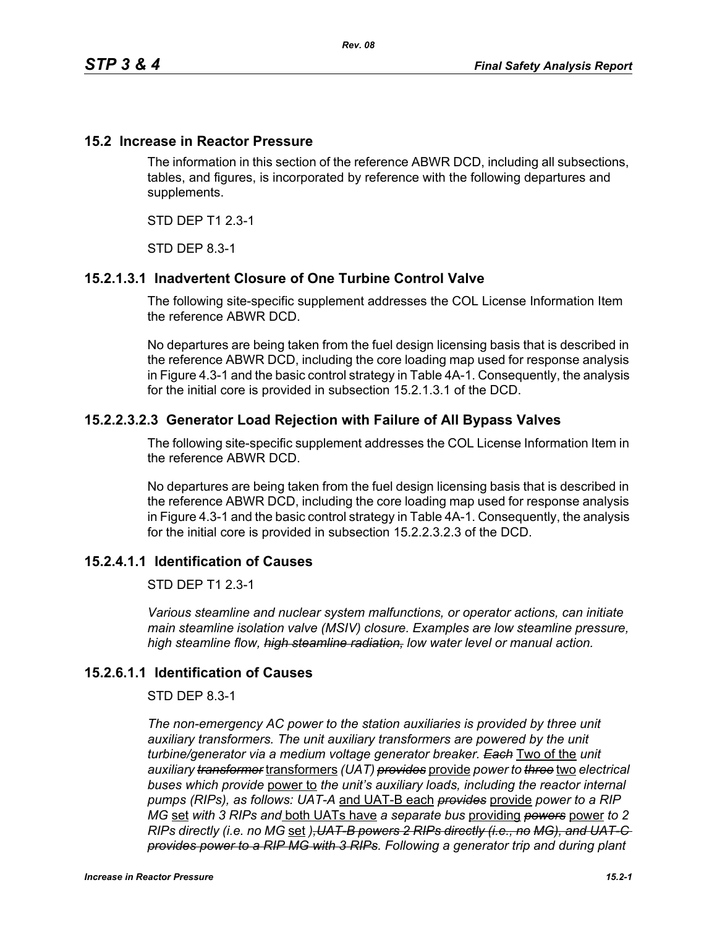#### **15.2 Increase in Reactor Pressure**

The information in this section of the reference ABWR DCD, including all subsections, tables, and figures, is incorporated by reference with the following departures and supplements.

STD DEP T1 2.3-1

STD DEP 8.3-1

# **15.2.1.3.1 Inadvertent Closure of One Turbine Control Valve**

The following site-specific supplement addresses the COL License Information Item the reference ABWR DCD.

No departures are being taken from the fuel design licensing basis that is described in the reference ABWR DCD, including the core loading map used for response analysis in Figure 4.3-1 and the basic control strategy in Table 4A-1. Consequently, the analysis for the initial core is provided in subsection 15.2.1.3.1 of the DCD.

#### **15.2.2.3.2.3 Generator Load Rejection with Failure of All Bypass Valves**

The following site-specific supplement addresses the COL License Information Item in the reference ABWR DCD.

No departures are being taken from the fuel design licensing basis that is described in the reference ABWR DCD, including the core loading map used for response analysis in Figure 4.3-1 and the basic control strategy in Table 4A-1. Consequently, the analysis for the initial core is provided in subsection 15.2.2.3.2.3 of the DCD.

# **15.2.4.1.1 Identification of Causes**

STD DEP T1 2.3-1

*Various steamline and nuclear system malfunctions, or operator actions, can initiate main steamline isolation valve (MSIV) closure. Examples are low steamline pressure, high steamline flow, high steamline radiation, low water level or manual action.*

# **15.2.6.1.1 Identification of Causes**

#### STD DEP 8.3-1

*The non-emergency AC power to the station auxiliaries is provided by three unit auxiliary transformers. The unit auxiliary transformers are powered by the unit turbine/generator via a medium voltage generator breaker. Each* Two of the *unit auxiliary transformer* transformers *(UAT) provides* provide *power to three* two *electrical buses which provide* power to *the unit's auxiliary loads, including the reactor internal pumps (RIPs), as follows: UAT-A* and UAT-B each *provides* provide *power to a RIP MG* set *with 3 RIPs and* both UATs have *a separate bus* providing *powers* power *to 2 RIPs directly (i.e. no MG* set *),UAT-B powers 2 RIPs directly (i.e., no MG), and UAT-C provides power to a RIP MG with 3 RIPs. Following a generator trip and during plant*